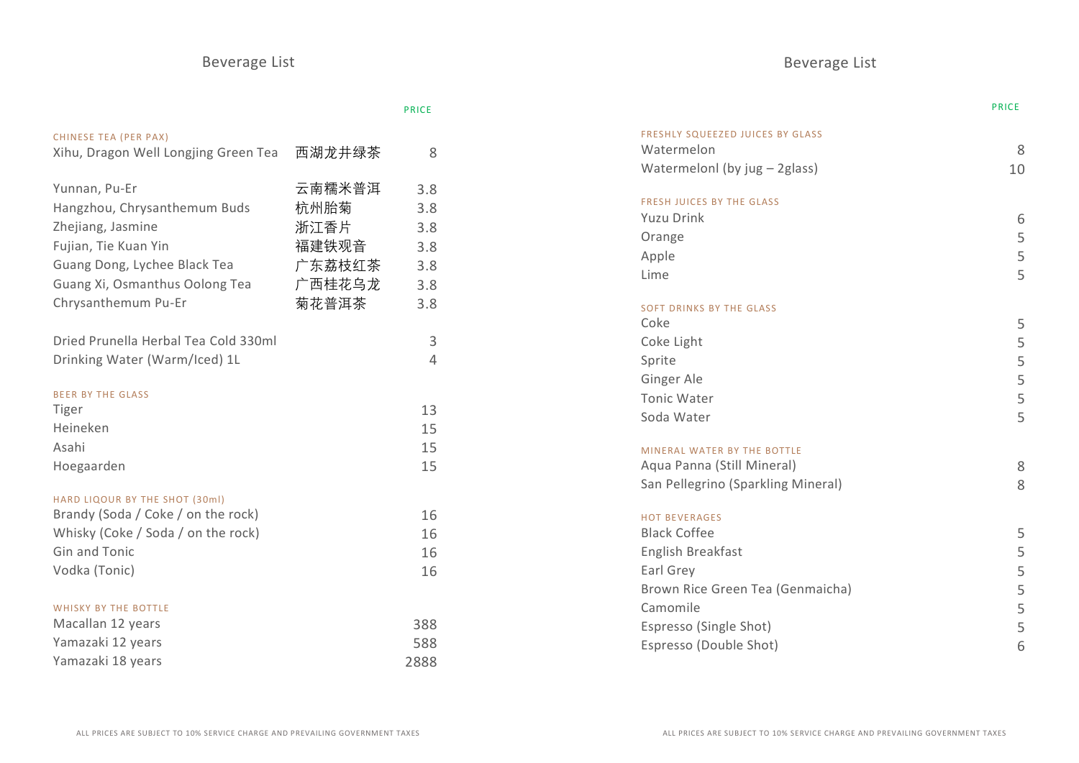# Beverage List **Beverage List** Beverage List

|                                      |        | <b>PRICE</b> |                                    | <b>PRICE</b> |
|--------------------------------------|--------|--------------|------------------------------------|--------------|
| CHINESE TEA (PER PAX)                |        |              | FRESHLY SQUEEZED JUICES BY GLASS   |              |
| Xihu, Dragon Well Longjing Green Tea | 西湖龙井绿茶 | 8            | Watermelon                         | 8            |
|                                      |        |              | Watermelonl (by jug - 2glass)      | 10           |
| Yunnan, Pu-Er                        | 云南糯米普洱 | 3.8          | <b>FRESH JUICES BY THE GLASS</b>   |              |
| Hangzhou, Chrysanthemum Buds         | 杭州胎菊   | 3.8          | <b>Yuzu Drink</b>                  | 6            |
| Zhejiang, Jasmine                    | 浙江香片   | 3.8          | Orange                             |              |
| Fujian, Tie Kuan Yin                 | 福建铁观音  | 3.8          | Apple                              |              |
| Guang Dong, Lychee Black Tea         | 广东荔枝红茶 | 3.8          | Lime                               | 5            |
| Guang Xi, Osmanthus Oolong Tea       | 广西桂花乌龙 | 3.8          |                                    |              |
| Chrysanthemum Pu-Er                  | 菊花普洱茶  | 3.8          | <b>SOFT DRINKS BY THE GLASS</b>    |              |
|                                      |        |              | Coke                               | 5            |
| Dried Prunella Herbal Tea Cold 330ml |        | $\mathsf{3}$ | Coke Light                         |              |
| Drinking Water (Warm/Iced) 1L        |        | 4            | Sprite                             |              |
|                                      |        |              | Ginger Ale                         |              |
| <b>BEER BY THE GLASS</b>             |        |              | <b>Tonic Water</b>                 |              |
| Tiger                                |        | 13           | Soda Water                         | 5            |
| Heineken                             |        | 15           |                                    |              |
| Asahi                                |        | 15           | MINERAL WATER BY THE BOTTLE        |              |
| Hoegaarden                           |        | 15           | Aqua Panna (Still Mineral)         | 8            |
|                                      |        |              | San Pellegrino (Sparkling Mineral) | 8            |
| HARD LIQOUR BY THE SHOT (30ml)       |        |              |                                    |              |
| Brandy (Soda / Coke / on the rock)   |        | 16           | <b>HOT BEVERAGES</b>               |              |
| Whisky (Coke / Soda / on the rock)   |        | 16           | <b>Black Coffee</b>                | 5            |
| Gin and Tonic                        |        | 16           | English Breakfast                  |              |
| Vodka (Tonic)                        |        | 16           | Earl Grey                          |              |
|                                      |        |              | Brown Rice Green Tea (Genmaicha)   |              |
| <b>WHISKY BY THE BOTTLE</b>          |        |              | Camomile                           |              |
| Macallan 12 years                    |        | 388          | Espresso (Single Shot)             |              |
| Yamazaki 12 years                    |        | 588          | Espresso (Double Shot)             | 6            |
| Yamazaki 18 years                    |        | 2888         |                                    |              |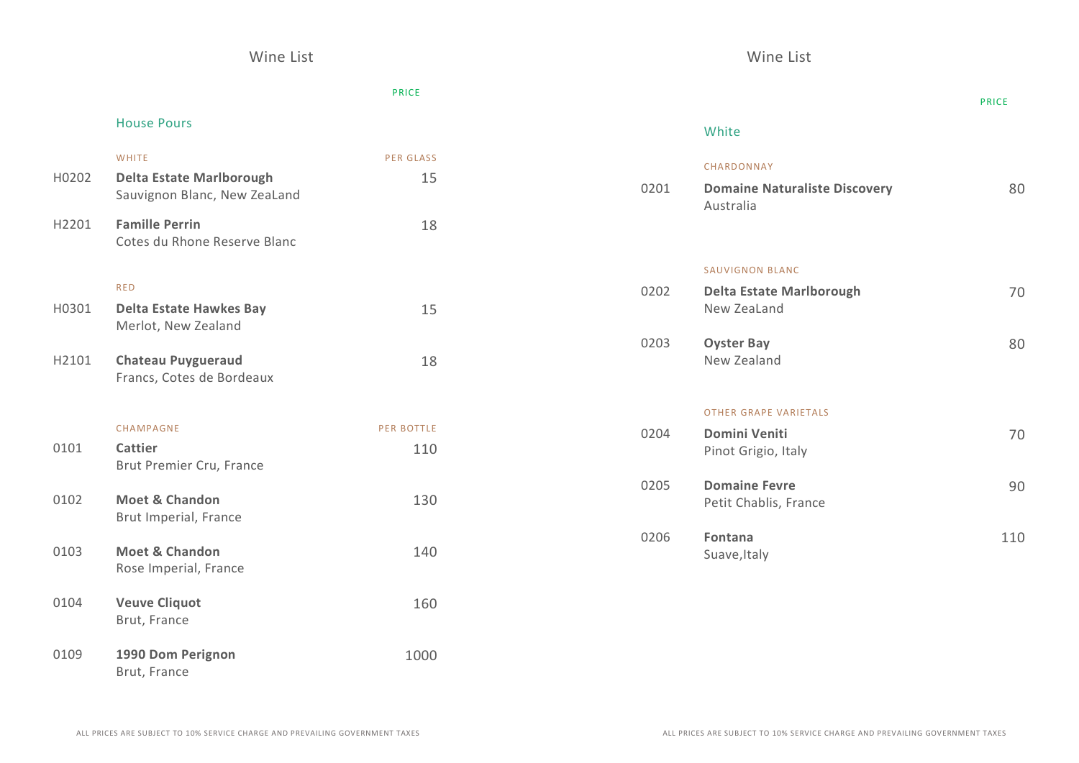# PRICE

### House Pours

| H0202             | <b>WHITE</b><br><b>Delta Estate Marlborough</b><br>Sauvignon Blanc, New ZeaLand | <b>PER GLASS</b><br>15 |
|-------------------|---------------------------------------------------------------------------------|------------------------|
| H <sub>2201</sub> | <b>Famille Perrin</b><br>Cotes du Rhone Reserve Blanc                           | 18                     |
|                   | <b>RED</b>                                                                      |                        |
| H0301             | Delta Estate Hawkes Bay<br>Merlot, New Zealand                                  | 15                     |
| H2101             | <b>Chateau Puygueraud</b><br>Francs, Cotes de Bordeaux                          | 18                     |
|                   | CHAMPAGNE                                                                       | <b>PER BOTTLE</b>      |

| 0101 | Cattier<br>Brut Premier Cru, France     | 110  |
|------|-----------------------------------------|------|
| 0102 | Moet & Chandon<br>Brut Imperial, France | 130  |
| 0103 | Moet & Chandon<br>Rose Imperial, France | 140  |
| 0104 | <b>Veuve Cliquot</b><br>Brut, France    | 160  |
| 0109 | 1990 Dom Perignon<br>Brut, France       | 1000 |

|      |                                                    | <b>PRICE</b> |
|------|----------------------------------------------------|--------------|
|      | White                                              |              |
| 0201 | CHARDONNAY<br><b>Domaine Naturaliste Discovery</b> | 80           |
|      | Australia                                          |              |
|      | <b>SAUVIGNON BLANC</b>                             |              |
| 0202 | <b>Delta Estate Marlborough</b><br>New ZeaLand     | 70           |
| 0203 | <b>Oyster Bay</b><br>New Zealand                   | 80           |
|      | <b>OTHER GRAPE VARIETALS</b>                       |              |
| 0204 | <b>Domini Veniti</b><br>Pinot Grigio, Italy        | 70           |
| 0205 | <b>Domaine Fevre</b><br>Petit Chablis, France      | 90           |
| 0206 | <b>Fontana</b><br>Suave, Italy                     | 110          |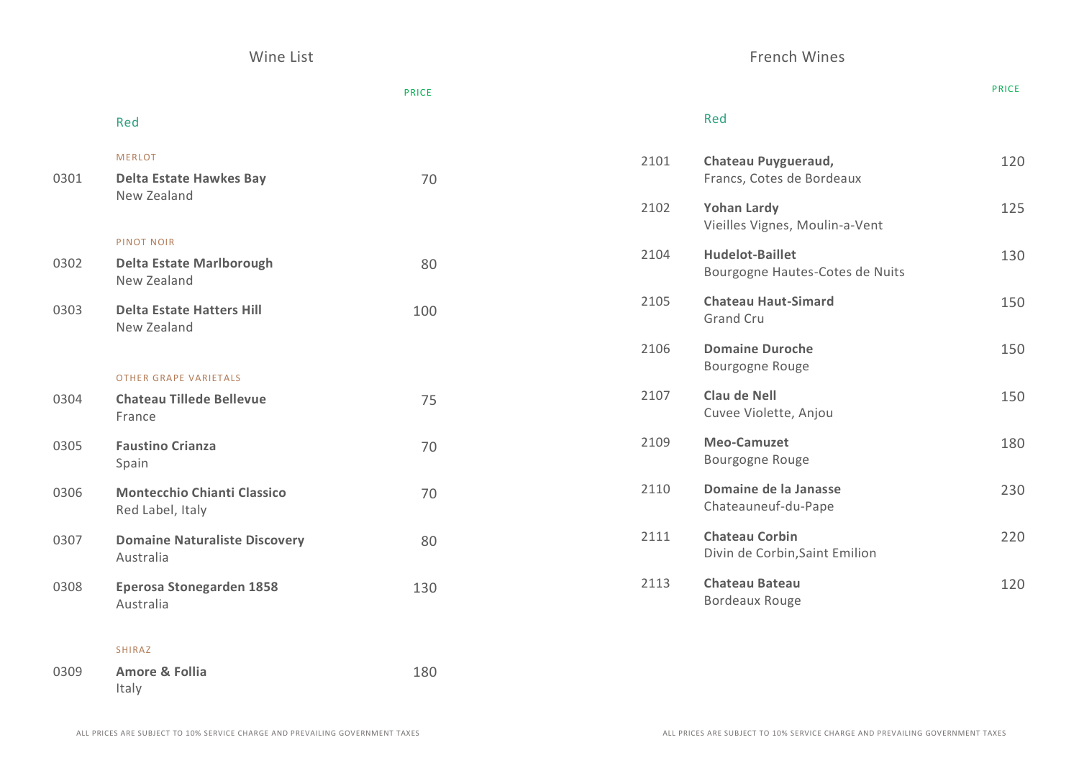Wine List **French Wines** 

|      |                                                                     | <b>PRICE</b> |      |                                                           | <b>PRICE</b> |
|------|---------------------------------------------------------------------|--------------|------|-----------------------------------------------------------|--------------|
|      | Red                                                                 |              |      | Red                                                       |              |
| 0301 | <b>MERLOT</b><br><b>Delta Estate Hawkes Bay</b>                     | 70           | 2101 | Chateau Puygueraud,<br>Francs, Cotes de Bordeaux          | 120          |
|      | New Zealand                                                         |              | 2102 | <b>Yohan Lardy</b><br>Vieilles Vignes, Moulin-a-Vent      | 125          |
| 0302 | <b>PINOT NOIR</b><br><b>Delta Estate Marlborough</b><br>New Zealand | 80           | 2104 | <b>Hudelot-Baillet</b><br>Bourgogne Hautes-Cotes de Nuits | 130          |
| 0303 | <b>Delta Estate Hatters Hill</b><br>New Zealand                     | 100          | 2105 | <b>Chateau Haut-Simard</b><br>Grand Cru                   | 150          |
|      | <b>OTHER GRAPE VARIETALS</b>                                        |              | 2106 | <b>Domaine Duroche</b><br>Bourgogne Rouge                 | 150          |
| 0304 | <b>Chateau Tillede Bellevue</b><br>France                           | 75           | 2107 | Clau de Nell<br>Cuvee Violette, Anjou                     | 150          |
| 0305 | <b>Faustino Crianza</b><br>Spain                                    | 70           | 2109 | <b>Meo-Camuzet</b><br>Bourgogne Rouge                     | 180          |
| 0306 | <b>Montecchio Chianti Classico</b><br>Red Label, Italy              | 70           | 2110 | Domaine de la Janasse<br>Chateauneuf-du-Pape              | 230          |
| 0307 | <b>Domaine Naturaliste Discovery</b><br>Australia                   | 80           | 2111 | <b>Chateau Corbin</b><br>Divin de Corbin, Saint Emilion   | 220          |
| 0308 | Eperosa Stonegarden 1858<br>Australia                               | 130          | 2113 | <b>Chateau Bateau</b><br><b>Bordeaux Rouge</b>            | 120          |
|      |                                                                     |              |      |                                                           |              |

SHIRAZ

0309 **Amore & Follia** Italy 180